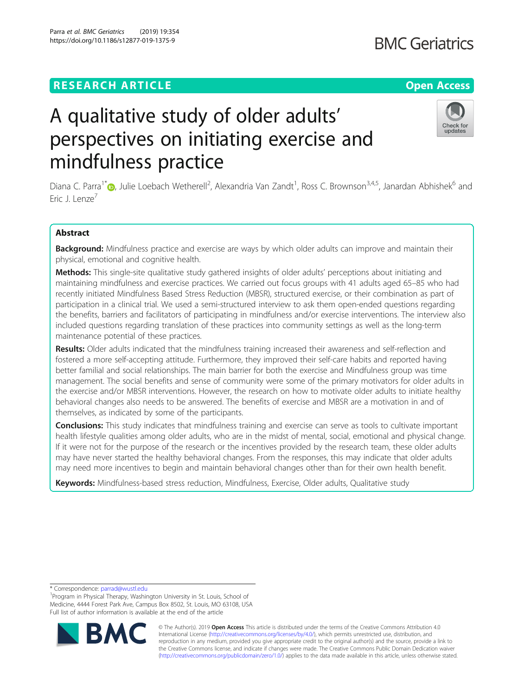## **RESEARCH ARTICLE Example 2014 12:30 The Contract of Contract ACCESS**

# A qualitative study of older adults' perspectives on initiating exercise and mindfulness practice

Diana C. Parra<sup>1\*</sup> D[,](http://orcid.org/0000-0002-9797-6231) Julie Loebach Wetherell<sup>2</sup>, Alexandria Van Zandt<sup>1</sup>, Ross C. Brownson<sup>3,4,5</sup>, Janardan Abhishek<sup>6</sup> and Fric  $1$  Lenze<sup>7</sup>

### Abstract

Background: Mindfulness practice and exercise are ways by which older adults can improve and maintain their physical, emotional and cognitive health.

Methods: This single-site qualitative study gathered insights of older adults' perceptions about initiating and maintaining mindfulness and exercise practices. We carried out focus groups with 41 adults aged 65–85 who had recently initiated Mindfulness Based Stress Reduction (MBSR), structured exercise, or their combination as part of participation in a clinical trial. We used a semi-structured interview to ask them open-ended questions regarding the benefits, barriers and facilitators of participating in mindfulness and/or exercise interventions. The interview also included questions regarding translation of these practices into community settings as well as the long-term maintenance potential of these practices.

Results: Older adults indicated that the mindfulness training increased their awareness and self-reflection and fostered a more self-accepting attitude. Furthermore, they improved their self-care habits and reported having better familial and social relationships. The main barrier for both the exercise and Mindfulness group was time management. The social benefits and sense of community were some of the primary motivators for older adults in the exercise and/or MBSR interventions. However, the research on how to motivate older adults to initiate healthy behavioral changes also needs to be answered. The benefits of exercise and MBSR are a motivation in and of themselves, as indicated by some of the participants.

Conclusions: This study indicates that mindfulness training and exercise can serve as tools to cultivate important health lifestyle qualities among older adults, who are in the midst of mental, social, emotional and physical change. If it were not for the purpose of the research or the incentives provided by the research team, these older adults may have never started the healthy behavioral changes. From the responses, this may indicate that older adults may need more incentives to begin and maintain behavioral changes other than for their own health benefit.

Keywords: Mindfulness-based stress reduction, Mindfulness, Exercise, Older adults, Qualitative study

\* Correspondence: [parrad@wustl.edu](mailto:parrad@wustl.edu) <sup>1</sup>

RA

<sup>&</sup>lt;sup>1</sup>Program in Physical Therapy, Washington University in St. Louis, School of Medicine, 4444 Forest Park Ave, Campus Box 8502, St. Louis, MO 63108, USA Full list of author information is available at the end of the article





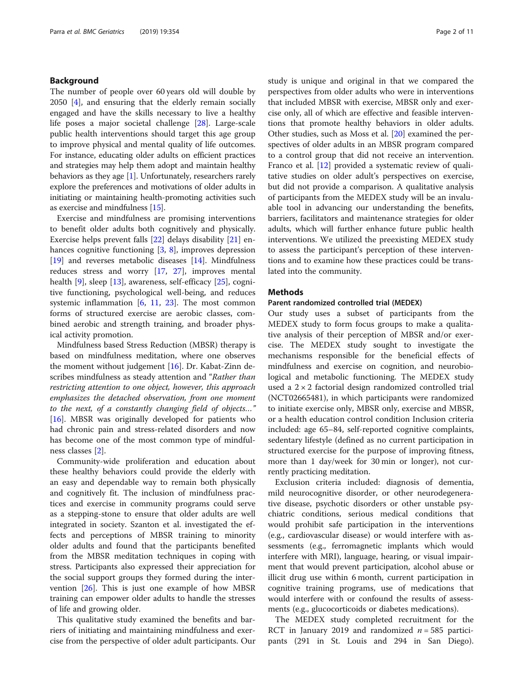#### Background

The number of people over 60 years old will double by 2050 [[4\]](#page-10-0), and ensuring that the elderly remain socially engaged and have the skills necessary to live a healthy life poses a major societal challenge [\[28\]](#page-10-0). Large-scale public health interventions should target this age group to improve physical and mental quality of life outcomes. For instance, educating older adults on efficient practices and strategies may help them adopt and maintain healthy behaviors as they age [[1\]](#page-10-0). Unfortunately, researchers rarely explore the preferences and motivations of older adults in initiating or maintaining health-promoting activities such as exercise and mindfulness [\[15\]](#page-10-0).

Exercise and mindfulness are promising interventions to benefit older adults both cognitively and physically. Exercise helps prevent falls [\[22](#page-10-0)] delays disability [[21\]](#page-10-0) enhances cognitive functioning [[3,](#page-10-0) [8](#page-10-0)], improves depression [[19\]](#page-10-0) and reverses metabolic diseases [\[14\]](#page-10-0). Mindfulness reduces stress and worry [\[17](#page-10-0), [27\]](#page-10-0), improves mental health [\[9](#page-10-0)], sleep [\[13\]](#page-10-0), awareness, self-efficacy [[25](#page-10-0)], cognitive functioning, psychological well-being, and reduces systemic inflammation  $[6, 11, 23]$  $[6, 11, 23]$  $[6, 11, 23]$  $[6, 11, 23]$  $[6, 11, 23]$ . The most common forms of structured exercise are aerobic classes, combined aerobic and strength training, and broader physical activity promotion.

Mindfulness based Stress Reduction (MBSR) therapy is based on mindfulness meditation, where one observes the moment without judgement  $[16]$  $[16]$ . Dr. Kabat-Zinn describes mindfulness as steady attention and "Rather than restricting attention to one object, however, this approach emphasizes the detached observation, from one moment to the next, of a constantly changing field of objects…" [[16\]](#page-10-0). MBSR was originally developed for patients who had chronic pain and stress-related disorders and now has become one of the most common type of mindfulness classes [\[2](#page-10-0)].

Community-wide proliferation and education about these healthy behaviors could provide the elderly with an easy and dependable way to remain both physically and cognitively fit. The inclusion of mindfulness practices and exercise in community programs could serve as a stepping-stone to ensure that older adults are well integrated in society. Szanton et al. investigated the effects and perceptions of MBSR training to minority older adults and found that the participants benefited from the MBSR meditation techniques in coping with stress. Participants also expressed their appreciation for the social support groups they formed during the intervention  $[26]$  $[26]$  $[26]$ . This is just one example of how MBSR training can empower older adults to handle the stresses of life and growing older.

This qualitative study examined the benefits and barriers of initiating and maintaining mindfulness and exercise from the perspective of older adult participants. Our study is unique and original in that we compared the perspectives from older adults who were in interventions that included MBSR with exercise, MBSR only and exercise only, all of which are effective and feasible interventions that promote healthy behaviors in older adults. Other studies, such as Moss et al. [[20\]](#page-10-0) examined the perspectives of older adults in an MBSR program compared to a control group that did not receive an intervention. Franco et al. [\[12](#page-10-0)] provided a systematic review of qualitative studies on older adult's perspectives on exercise, but did not provide a comparison. A qualitative analysis of participants from the MEDEX study will be an invaluable tool in advancing our understanding the benefits, barriers, facilitators and maintenance strategies for older adults, which will further enhance future public health interventions. We utilized the preexisting MEDEX study to assess the participant's perception of these interventions and to examine how these practices could be translated into the community.

#### **Methods**

#### Parent randomized controlled trial (MEDEX)

Our study uses a subset of participants from the MEDEX study to form focus groups to make a qualitative analysis of their perception of MBSR and/or exercise. The MEDEX study sought to investigate the mechanisms responsible for the beneficial effects of mindfulness and exercise on cognition, and neurobiological and metabolic functioning. The MEDEX study used a  $2 \times 2$  factorial design randomized controlled trial (NCT02665481), in which participants were randomized to initiate exercise only, MBSR only, exercise and MBSR, or a health education control condition Inclusion criteria included: age 65–84, self-reported cognitive complaints, sedentary lifestyle (defined as no current participation in structured exercise for the purpose of improving fitness, more than 1 day/week for 30 min or longer), not currently practicing meditation.

Exclusion criteria included: diagnosis of dementia, mild neurocognitive disorder, or other neurodegenerative disease, psychotic disorders or other unstable psychiatric conditions, serious medical conditions that would prohibit safe participation in the interventions (e.g., cardiovascular disease) or would interfere with assessments (e.g., ferromagnetic implants which would interfere with MRI), language, hearing, or visual impairment that would prevent participation, alcohol abuse or illicit drug use within 6 month, current participation in cognitive training programs, use of medications that would interfere with or confound the results of assessments (e.g., glucocorticoids or diabetes medications).

The MEDEX study completed recruitment for the RCT in January 2019 and randomized  $n = 585$  participants (291 in St. Louis and 294 in San Diego).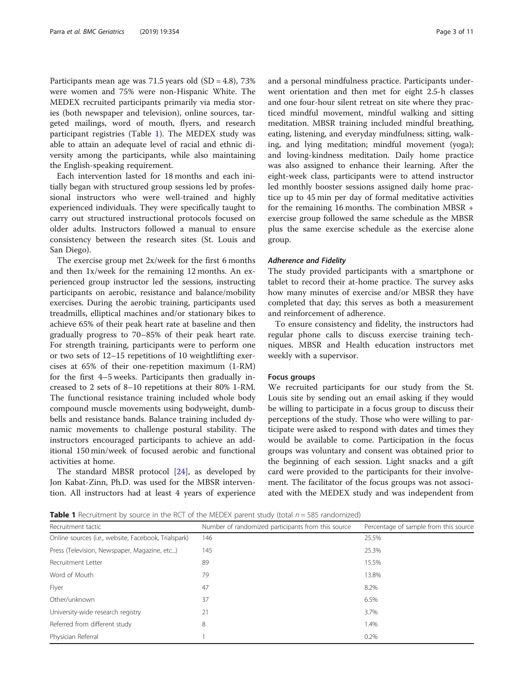Participants mean age was  $71.5$  years old  $(SD = 4.8)$ ,  $73\%$ were women and 75% were non-Hispanic White. The MEDEX recruited participants primarily via media stories (both newspaper and television), online sources, targeted mailings, word of mouth, flyers, and research participant registries (Table 1). The MEDEX study was able to attain an adequate level of racial and ethnic diversity among the participants, while also maintaining the English-speaking requirement.

Each intervention lasted for 18 months and each initially began with structured group sessions led by professional instructors who were well-trained and highly experienced individuals. They were specifically taught to carry out structured instructional protocols focused on older adults. Instructors followed a manual to ensure consistency between the research sites (St. Louis and San Diego).

The exercise group met 2x/week for the first 6 months and then 1x/week for the remaining 12 months. An experienced group instructor led the sessions, instructing participants on aerobic, resistance and balance/mobility exercises. During the aerobic training, participants used treadmills, elliptical machines and/or stationary bikes to achieve 65% of their peak heart rate at baseline and then gradually progress to 70–85% of their peak heart rate. For strength training, participants were to perform one or two sets of 12–15 repetitions of 10 weightlifting exercises at 65% of their one-repetition maximum (1-RM) for the first 4–5 weeks. Participants then gradually increased to 2 sets of 8–10 repetitions at their 80% 1-RM. The functional resistance training included whole body compound muscle movements using bodyweight, dumbbells and resistance bands. Balance training included dynamic movements to challenge postural stability. The instructors encouraged participants to achieve an additional 150 min/week of focused aerobic and functional activities at home.

The standard MBSR protocol [[24\]](#page-10-0), as developed by Jon Kabat-Zinn, Ph.D. was used for the MBSR intervention. All instructors had at least 4 years of experience and a personal mindfulness practice. Participants underwent orientation and then met for eight 2.5-h classes and one four-hour silent retreat on site where they practiced mindful movement, mindful walking and sitting meditation. MBSR training included mindful breathing, eating, listening, and everyday mindfulness; sitting, walking, and lying meditation; mindful movement (yoga); and loving-kindness meditation. Daily home practice was also assigned to enhance their learning. After the eight-week class, participants were to attend instructor led monthly booster sessions assigned daily home practice up to 45 min per day of formal meditative activities for the remaining 16 months. The combination MBSR + exercise group followed the same schedule as the MBSR plus the same exercise schedule as the exercise alone group.

#### Adherence and Fidelity

The study provided participants with a smartphone or tablet to record their at-home practice. The survey asks how many minutes of exercise and/or MBSR they have completed that day; this serves as both a measurement and reinforcement of adherence.

To ensure consistency and fidelity, the instructors had regular phone calls to discuss exercise training techniques. MBSR and Health education instructors met weekly with a supervisor.

#### Focus groups

We recruited participants for our study from the St. Louis site by sending out an email asking if they would be willing to participate in a focus group to discuss their perceptions of the study. Those who were willing to participate were asked to respond with dates and times they would be available to come. Participation in the focus groups was voluntary and consent was obtained prior to the beginning of each session. Light snacks and a gift card were provided to the participants for their involvement. The facilitator of the focus groups was not associated with the MEDEX study and was independent from

**Table 1** Recruitment by source in the RCT of the MEDEX parent study (total  $n = 585$  randomized)

| Recruitment tactic                                   | Number of randomized participants from this source | Percentage of sample from this source |  |
|------------------------------------------------------|----------------------------------------------------|---------------------------------------|--|
| Online sources (i.e., website, Facebook, Trialspark) | 146                                                | 25.5%                                 |  |
| Press (Television, Newspaper, Magazine, etc)         | 145                                                | 25.3%                                 |  |
| Recruitment Letter                                   | 89                                                 | 15.5%                                 |  |
| Word of Mouth                                        | 79                                                 | 13.8%                                 |  |
| Flyer                                                | 47                                                 | 8.2%                                  |  |
| Other/unknown                                        | 37                                                 | 6.5%                                  |  |
| University-wide research registry                    | 21                                                 | 3.7%                                  |  |
| Referred from different study                        | 8                                                  | 1.4%                                  |  |
| Physician Referral                                   |                                                    | 0.2%                                  |  |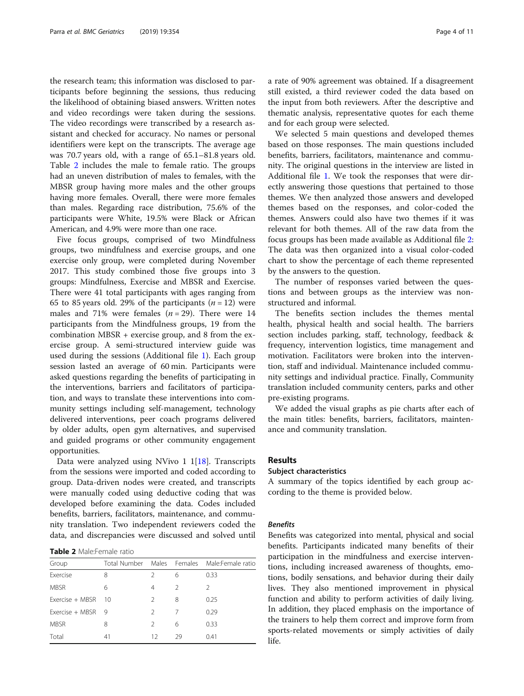the research team; this information was disclosed to participants before beginning the sessions, thus reducing the likelihood of obtaining biased answers. Written notes and video recordings were taken during the sessions. The video recordings were transcribed by a research assistant and checked for accuracy. No names or personal identifiers were kept on the transcripts. The average age was 70.7 years old, with a range of 65.1–81.8 years old. Table 2 includes the male to female ratio. The groups had an uneven distribution of males to females, with the MBSR group having more males and the other groups having more females. Overall, there were more females than males. Regarding race distribution, 75.6% of the participants were White, 19.5% were Black or African American, and 4.9% were more than one race.

Five focus groups, comprised of two Mindfulness groups, two mindfulness and exercise groups, and one exercise only group, were completed during November 2017. This study combined those five groups into 3 groups: Mindfulness, Exercise and MBSR and Exercise. There were 41 total participants with ages ranging from 65 to 85 years old. 29% of the participants  $(n = 12)$  were males and 71% were females  $(n = 29)$ . There were 14 participants from the Mindfulness groups, 19 from the combination MBSR + exercise group, and 8 from the exercise group. A semi-structured interview guide was used during the sessions (Additional file [1](#page-9-0)). Each group session lasted an average of 60 min. Participants were asked questions regarding the benefits of participating in the interventions, barriers and facilitators of participation, and ways to translate these interventions into community settings including self-management, technology delivered interventions, peer coach programs delivered by older adults, open gym alternatives, and supervised and guided programs or other community engagement opportunities.

Data were analyzed using NVivo  $1 \frac{1}{18}$  $1 \frac{1}{18}$  $1 \frac{1}{18}$ . Transcripts from the sessions were imported and coded according to group. Data-driven nodes were created, and transcripts were manually coded using deductive coding that was developed before examining the data. Codes included benefits, barriers, facilitators, maintenance, and community translation. Two independent reviewers coded the data, and discrepancies were discussed and solved until

Table 2 Male:Female ratio

| Group           |    |               |    | Total Number Males Females Male:Female ratio |
|-----------------|----|---------------|----|----------------------------------------------|
| <b>Exercise</b> | 8  | 2             | 6  | 0.33                                         |
| <b>MBSR</b>     | 6  | 4             | 2  |                                              |
| Exercise + MBSR | 10 | $\mathcal{P}$ | 8  | 0.25                                         |
| Exercise + MBSR | 9  | 2             | 7  | 0.29                                         |
| <b>MBSR</b>     | 8  | 2             | 6  | 0.33                                         |
| Total           | 41 | 12            | 29 | 0.41                                         |

a rate of 90% agreement was obtained. If a disagreement still existed, a third reviewer coded the data based on the input from both reviewers. After the descriptive and thematic analysis, representative quotes for each theme and for each group were selected.

We selected 5 main questions and developed themes based on those responses. The main questions included benefits, barriers, facilitators, maintenance and community. The original questions in the interview are listed in Additional file [1](#page-9-0). We took the responses that were directly answering those questions that pertained to those themes. We then analyzed those answers and developed themes based on the responses, and color-coded the themes. Answers could also have two themes if it was relevant for both themes. All of the raw data from the focus groups has been made available as Additional file [2](#page-9-0): The data was then organized into a visual color-coded chart to show the percentage of each theme represented by the answers to the question.

The number of responses varied between the questions and between groups as the interview was nonstructured and informal.

The benefits section includes the themes mental health, physical health and social health. The barriers section includes parking, staff, technology, feedback & frequency, intervention logistics, time management and motivation. Facilitators were broken into the intervention, staff and individual. Maintenance included community settings and individual practice. Finally, Community translation included community centers, parks and other pre-existing programs.

We added the visual graphs as pie charts after each of the main titles: benefits, barriers, facilitators, maintenance and community translation.

#### Results

#### Subject characteristics

A summary of the topics identified by each group according to the theme is provided below.

#### Benefits

Benefits was categorized into mental, physical and social benefits. Participants indicated many benefits of their participation in the mindfulness and exercise interventions, including increased awareness of thoughts, emotions, bodily sensations, and behavior during their daily lives. They also mentioned improvement in physical function and ability to perform activities of daily living. In addition, they placed emphasis on the importance of the trainers to help them correct and improve form from sports-related movements or simply activities of daily life.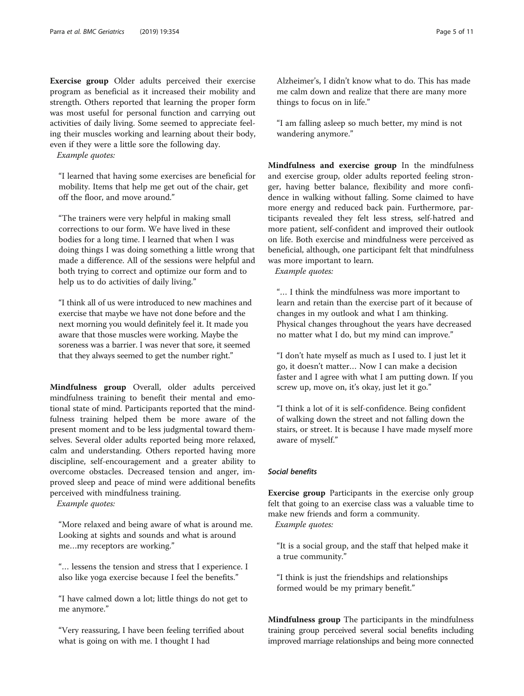Exercise group Older adults perceived their exercise program as beneficial as it increased their mobility and strength. Others reported that learning the proper form was most useful for personal function and carrying out activities of daily living. Some seemed to appreciate feeling their muscles working and learning about their body, even if they were a little sore the following day.

Example quotes:

"I learned that having some exercises are beneficial for mobility. Items that help me get out of the chair, get off the floor, and move around."

"The trainers were very helpful in making small corrections to our form. We have lived in these bodies for a long time. I learned that when I was doing things I was doing something a little wrong that made a difference. All of the sessions were helpful and both trying to correct and optimize our form and to help us to do activities of daily living."

"I think all of us were introduced to new machines and exercise that maybe we have not done before and the next morning you would definitely feel it. It made you aware that those muscles were working. Maybe the soreness was a barrier. I was never that sore, it seemed that they always seemed to get the number right."

Mindfulness group Overall, older adults perceived mindfulness training to benefit their mental and emotional state of mind. Participants reported that the mindfulness training helped them be more aware of the present moment and to be less judgmental toward themselves. Several older adults reported being more relaxed, calm and understanding. Others reported having more discipline, self-encouragement and a greater ability to overcome obstacles. Decreased tension and anger, improved sleep and peace of mind were additional benefits perceived with mindfulness training.

Example quotes:

"More relaxed and being aware of what is around me. Looking at sights and sounds and what is around me…my receptors are working."

"… lessens the tension and stress that I experience. I also like yoga exercise because I feel the benefits."

"I have calmed down a lot; little things do not get to me anymore."

"Very reassuring, I have been feeling terrified about what is going on with me. I thought I had

Alzheimer's, I didn't know what to do. This has made me calm down and realize that there are many more things to focus on in life."

"I am falling asleep so much better, my mind is not wandering anymore."

Mindfulness and exercise group In the mindfulness and exercise group, older adults reported feeling stronger, having better balance, flexibility and more confidence in walking without falling. Some claimed to have more energy and reduced back pain. Furthermore, participants revealed they felt less stress, self-hatred and more patient, self-confident and improved their outlook on life. Both exercise and mindfulness were perceived as beneficial, although, one participant felt that mindfulness was more important to learn.

Example quotes:

"… I think the mindfulness was more important to learn and retain than the exercise part of it because of changes in my outlook and what I am thinking. Physical changes throughout the years have decreased no matter what I do, but my mind can improve."

"I don't hate myself as much as I used to. I just let it go, it doesn't matter… Now I can make a decision faster and I agree with what I am putting down. If you screw up, move on, it's okay, just let it go."

"I think a lot of it is self-confidence. Being confident of walking down the street and not falling down the stairs, or street. It is because I have made myself more aware of myself."

#### Social benefits

Exercise group Participants in the exercise only group felt that going to an exercise class was a valuable time to make new friends and form a community.

Example quotes:

"It is a social group, and the staff that helped make it a true community."

"I think is just the friendships and relationships formed would be my primary benefit."

Mindfulness group The participants in the mindfulness training group perceived several social benefits including improved marriage relationships and being more connected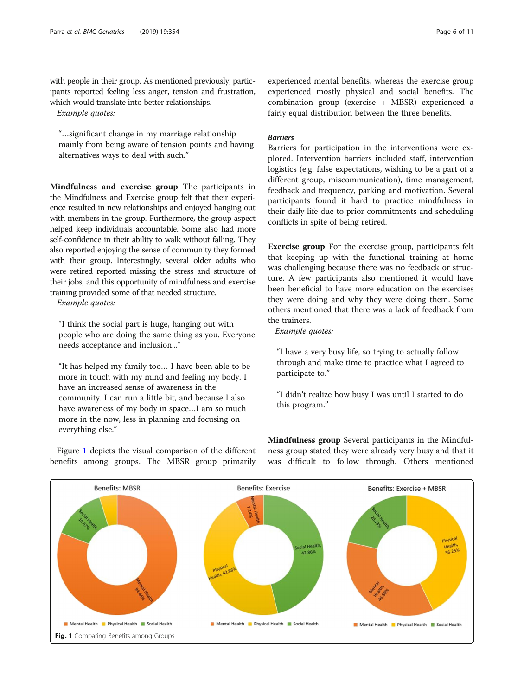with people in their group. As mentioned previously, participants reported feeling less anger, tension and frustration, which would translate into better relationships.

Example quotes:

"…significant change in my marriage relationship mainly from being aware of tension points and having alternatives ways to deal with such."

Mindfulness and exercise group The participants in the Mindfulness and Exercise group felt that their experience resulted in new relationships and enjoyed hanging out with members in the group. Furthermore, the group aspect helped keep individuals accountable. Some also had more self-confidence in their ability to walk without falling. They also reported enjoying the sense of community they formed with their group. Interestingly, several older adults who were retired reported missing the stress and structure of their jobs, and this opportunity of mindfulness and exercise training provided some of that needed structure.

Example quotes:

"I think the social part is huge, hanging out with people who are doing the same thing as you. Everyone needs acceptance and inclusion..."

"It has helped my family too… I have been able to be more in touch with my mind and feeling my body. I have an increased sense of awareness in the community. I can run a little bit, and because I also have awareness of my body in space…I am so much more in the now, less in planning and focusing on everything else."

Figure 1 depicts the visual comparison of the different benefits among groups. The MBSR group primarily

experienced mental benefits, whereas the exercise group experienced mostly physical and social benefits. The combination group (exercise + MBSR) experienced a fairly equal distribution between the three benefits.

#### **Barriers**

Barriers for participation in the interventions were explored. Intervention barriers included staff, intervention logistics (e.g. false expectations, wishing to be a part of a different group, miscommunication), time management, feedback and frequency, parking and motivation. Several participants found it hard to practice mindfulness in their daily life due to prior commitments and scheduling conflicts in spite of being retired.

Exercise group For the exercise group, participants felt that keeping up with the functional training at home was challenging because there was no feedback or structure. A few participants also mentioned it would have been beneficial to have more education on the exercises they were doing and why they were doing them. Some others mentioned that there was a lack of feedback from the trainers.

Example quotes:

"I have a very busy life, so trying to actually follow through and make time to practice what I agreed to participate to."

"I didn't realize how busy I was until I started to do this program."

Mindfulness group Several participants in the Mindfulness group stated they were already very busy and that it was difficult to follow through. Others mentioned

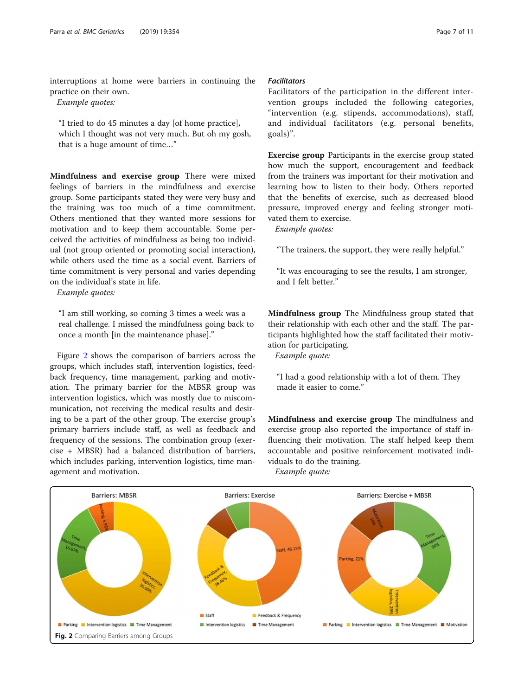interruptions at home were barriers in continuing the practice on their own.

Example quotes:

"I tried to do 45 minutes a day [of home practice], which I thought was not very much. But oh my gosh, that is a huge amount of time…"

Mindfulness and exercise group There were mixed feelings of barriers in the mindfulness and exercise group. Some participants stated they were very busy and the training was too much of a time commitment. Others mentioned that they wanted more sessions for motivation and to keep them accountable. Some perceived the activities of mindfulness as being too individual (not group oriented or promoting social interaction), while others used the time as a social event. Barriers of time commitment is very personal and varies depending on the individual's state in life.

Example quotes:

"I am still working, so coming 3 times a week was a real challenge. I missed the mindfulness going back to once a month [in the maintenance phase]."

Figure 2 shows the comparison of barriers across the groups, which includes staff, intervention logistics, feedback frequency, time management, parking and motivation. The primary barrier for the MBSR group was intervention logistics, which was mostly due to miscommunication, not receiving the medical results and desiring to be a part of the other group. The exercise group's primary barriers include staff, as well as feedback and frequency of the sessions. The combination group (exercise + MBSR) had a balanced distribution of barriers, which includes parking, intervention logistics, time management and motivation.

Facilitators of the participation in the different intervention groups included the following categories, "intervention (e.g. stipends, accommodations), staff, and individual facilitators (e.g. personal benefits, goals)".

Exercise group Participants in the exercise group stated how much the support, encouragement and feedback from the trainers was important for their motivation and learning how to listen to their body. Others reported that the benefits of exercise, such as decreased blood pressure, improved energy and feeling stronger motivated them to exercise.

Example quotes:

"The trainers, the support, they were really helpful."

"It was encouraging to see the results, I am stronger, and I felt better."

Mindfulness group The Mindfulness group stated that their relationship with each other and the staff. The participants highlighted how the staff facilitated their motivation for participating.

Example quote:

"I had a good relationship with a lot of them. They made it easier to come."

Mindfulness and exercise group The mindfulness and exercise group also reported the importance of staff influencing their motivation. The staff helped keep them accountable and positive reinforcement motivated individuals to do the training.



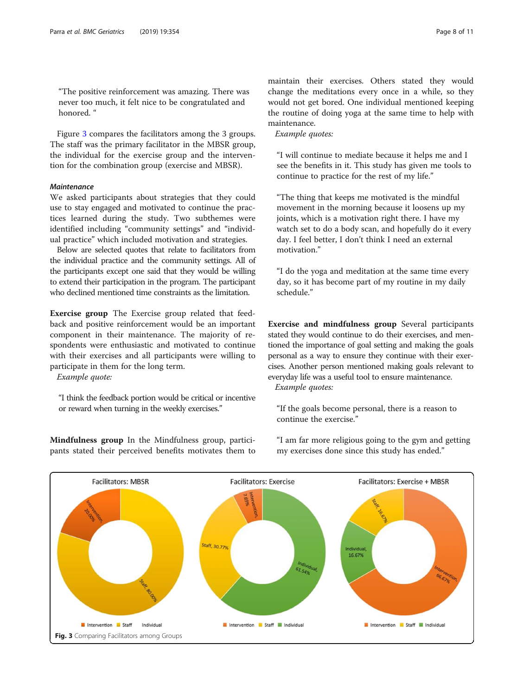"The positive reinforcement was amazing. There was never too much, it felt nice to be congratulated and honored. "

Figure 3 compares the facilitators among the 3 groups. The staff was the primary facilitator in the MBSR group, the individual for the exercise group and the intervention for the combination group (exercise and MBSR).

#### Maintenance

We asked participants about strategies that they could use to stay engaged and motivated to continue the practices learned during the study. Two subthemes were identified including "community settings" and "individual practice" which included motivation and strategies.

Below are selected quotes that relate to facilitators from the individual practice and the community settings. All of the participants except one said that they would be willing to extend their participation in the program. The participant who declined mentioned time constraints as the limitation.

Exercise group The Exercise group related that feedback and positive reinforcement would be an important component in their maintenance. The majority of respondents were enthusiastic and motivated to continue with their exercises and all participants were willing to participate in them for the long term.

Example quote:

"I think the feedback portion would be critical or incentive or reward when turning in the weekly exercises."

Mindfulness group In the Mindfulness group, participants stated their perceived benefits motivates them to maintain their exercises. Others stated they would change the meditations every once in a while, so they would not get bored. One individual mentioned keeping the routine of doing yoga at the same time to help with maintenance.

#### Example quotes:

"I will continue to mediate because it helps me and I see the benefits in it. This study has given me tools to continue to practice for the rest of my life."

"The thing that keeps me motivated is the mindful movement in the morning because it loosens up my joints, which is a motivation right there. I have my watch set to do a body scan, and hopefully do it every day. I feel better, I don't think I need an external motivation."

"I do the yoga and meditation at the same time every day, so it has become part of my routine in my daily schedule."

Exercise and mindfulness group Several participants stated they would continue to do their exercises, and mentioned the importance of goal setting and making the goals personal as a way to ensure they continue with their exercises. Another person mentioned making goals relevant to everyday life was a useful tool to ensure maintenance. Example quotes:

"If the goals become personal, there is a reason to continue the exercise."

"I am far more religious going to the gym and getting my exercises done since this study has ended."

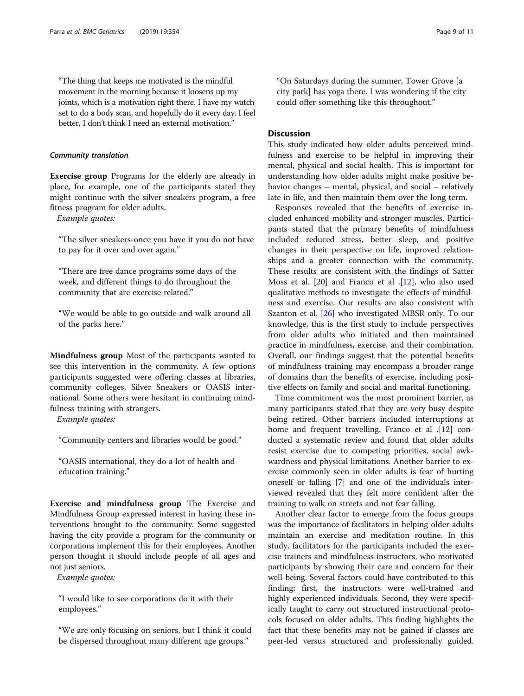"The thing that keeps me motivated is the mindful movement in the morning because it loosens up my joints, which is a motivation right there. I have my watch set to do a body scan, and hopefully do it every day. I feel better, I don't think I need an external motivation."

#### Community translation

Exercise group Programs for the elderly are already in place, for example, one of the participants stated they might continue with the silver sneakers program, a free fitness program for older adults.

Example quotes:

"The silver sneakers-once you have it you do not have to pay for it over and over again."

"There are free dance programs some days of the week, and different things to do throughout the community that are exercise related."

"We would be able to go outside and walk around all of the parks here."

Mindfulness group Most of the participants wanted to see this intervention in the community. A few options participants suggested were offering classes at libraries, community colleges, Silver Sneakers or OASIS international. Some others were hesitant in continuing mindfulness training with strangers.

Example quotes:

"Community centers and libraries would be good."

"OASIS international, they do a lot of health and education training."

Exercise and mindfulness group The Exercise and Mindfulness Group expressed interest in having these interventions brought to the community. Some suggested having the city provide a program for the community or corporations implement this for their employees. Another person thought it should include people of all ages and not just seniors.

Example quotes:

"I would like to see corporations do it with their employees."

"We are only focusing on seniors, but I think it could be dispersed throughout many different age groups."

"On Saturdays during the summer, Tower Grove [a city park] has yoga there. I was wondering if the city could offer something like this throughout."

#### **Discussion**

This study indicated how older adults perceived mindfulness and exercise to be helpful in improving their mental, physical and social health. This is important for understanding how older adults might make positive behavior changes – mental, physical, and social – relatively late in life, and then maintain them over the long term.

Responses revealed that the benefits of exercise included enhanced mobility and stronger muscles. Participants stated that the primary benefits of mindfulness included reduced stress, better sleep, and positive changes in their perspective on life, improved relationships and a greater connection with the community. These results are consistent with the findings of Satter Moss et al.  $[20]$  $[20]$  and Franco et al.  $[12]$ , who also used qualitative methods to investigate the effects of mindfulness and exercise. Our results are also consistent with Szanton et al. [[26\]](#page-10-0) who investigated MBSR only. To our knowledge, this is the first study to include perspectives from older adults who initiated and then maintained practice in mindfulness, exercise, and their combination. Overall, our findings suggest that the potential benefits of mindfulness training may encompass a broader range of domains than the benefits of exercise, including positive effects on family and social and marital functioning.

Time commitment was the most prominent barrier, as many participants stated that they are very busy despite being retired. Other barriers included interruptions at home and frequent travelling. Franco et al .[[12\]](#page-10-0) conducted a systematic review and found that older adults resist exercise due to competing priorities, social awkwardness and physical limitations. Another barrier to exercise commonly seen in older adults is fear of hurting oneself or falling [\[7](#page-10-0)] and one of the individuals interviewed revealed that they felt more confident after the training to walk on streets and not fear falling.

Another clear factor to emerge from the focus groups was the importance of facilitators in helping older adults maintain an exercise and meditation routine. In this study, facilitators for the participants included the exercise trainers and mindfulness instructors, who motivated participants by showing their care and concern for their well-being. Several factors could have contributed to this finding; first, the instructors were well-trained and highly experienced individuals. Second, they were specifically taught to carry out structured instructional protocols focused on older adults. This finding highlights the fact that these benefits may not be gained if classes are peer-led versus structured and professionally guided.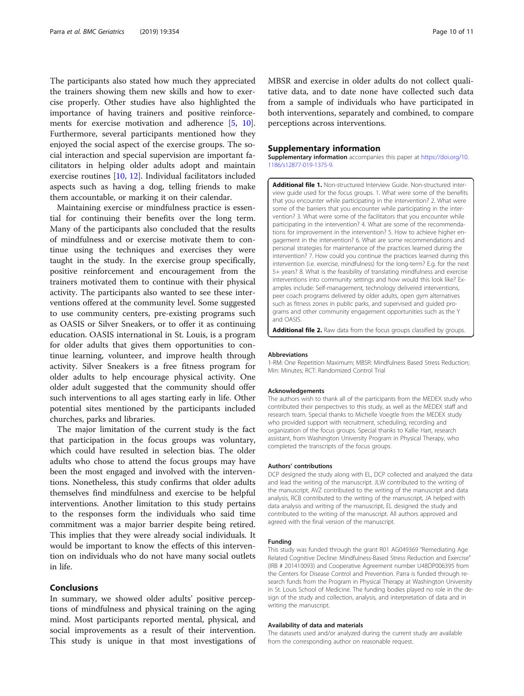<span id="page-9-0"></span>The participants also stated how much they appreciated the trainers showing them new skills and how to exercise properly. Other studies have also highlighted the importance of having trainers and positive reinforcements for exercise motivation and adherence [[5,](#page-10-0) [10](#page-10-0)]. Furthermore, several participants mentioned how they enjoyed the social aspect of the exercise groups. The social interaction and special supervision are important facilitators in helping older adults adopt and maintain exercise routines [\[10,](#page-10-0) [12\]](#page-10-0). Individual facilitators included aspects such as having a dog, telling friends to make them accountable, or marking it on their calendar.

Maintaining exercise or mindfulness practice is essential for continuing their benefits over the long term. Many of the participants also concluded that the results of mindfulness and or exercise motivate them to continue using the techniques and exercises they were taught in the study. In the exercise group specifically, positive reinforcement and encouragement from the trainers motivated them to continue with their physical activity. The participants also wanted to see these interventions offered at the community level. Some suggested to use community centers, pre-existing programs such as OASIS or Silver Sneakers, or to offer it as continuing education. OASIS international in St. Louis, is a program for older adults that gives them opportunities to continue learning, volunteer, and improve health through activity. Silver Sneakers is a free fitness program for older adults to help encourage physical activity. One older adult suggested that the community should offer such interventions to all ages starting early in life. Other potential sites mentioned by the participants included churches, parks and libraries.

The major limitation of the current study is the fact that participation in the focus groups was voluntary, which could have resulted in selection bias. The older adults who chose to attend the focus groups may have been the most engaged and involved with the interventions. Nonetheless, this study confirms that older adults themselves find mindfulness and exercise to be helpful interventions. Another limitation to this study pertains to the responses form the individuals who said time commitment was a major barrier despite being retired. This implies that they were already social individuals. It would be important to know the effects of this intervention on individuals who do not have many social outlets in life.

#### Conclusions

In summary, we showed older adults' positive perceptions of mindfulness and physical training on the aging mind. Most participants reported mental, physical, and social improvements as a result of their intervention. This study is unique in that most investigations of MBSR and exercise in older adults do not collect qualitative data, and to date none have collected such data from a sample of individuals who have participated in both interventions, separately and combined, to compare perceptions across interventions.

#### Supplementary information

Supplementary information accompanies this paper at [https://doi.org/10.](https://doi.org/10.1186/s12877-019-1375-9) [1186/s12877-019-1375-9.](https://doi.org/10.1186/s12877-019-1375-9)

Additional file 1. Non-structured Interview Guide. Non-structured interview guide used for the focus groups. 1. What were some of the benefits that you encounter while participating in the intervention? 2. What were some of the barriers that you encounter while participating in the intervention? 3. What were some of the facilitators that you encounter while participating in the intervention? 4. What are some of the recommendations for improvement in the intervention? 5. How to achieve higher engagement in the intervention? 6. What are some recommendations and personal strategies for maintenance of the practices learned during the intervention? 7. How could you continue the practices learned during this intervention (i.e. exercise, mindfulness) for the long-term? E.g. for the next 5+ years? 8. What is the feasibility of translating mindfulness and exercise interventions into community settings and how would this look like? Examples include: Self-management, technology delivered interventions, peer coach programs delivered by older adults, open gym alternatives such as fitness zones in public parks, and supervised and guided programs and other community engagement opportunities such as the Y and OASIS

Additional file 2. Raw data from the focus groups classified by groups.

#### Abbreviations

1-RM: One Repetition Maximum; MBSR: Mindfulness Based Stress Reduction; Min: Minutes; RCT: Randomized Control Trial

#### Acknowledgements

The authors wish to thank all of the participants from the MEDEX study who contributed their perspectives to this study, as well as the MEDEX staff and research team. Special thanks to Michelle Voegtle from the MEDEX study who provided support with recruitment, scheduling, recording and organization of the focus groups. Special thanks to Kallie Hart, research assistant, from Washington University Program in Physical Therapy, who completed the transcripts of the focus groups.

#### Authors' contributions

DCP designed the study along with EL, DCP collected and analyzed the data and lead the writing of the manuscript. JLW contributed to the writing of the manuscript, AVZ contributed to the writing of the manuscript and data analysis, RCB contributed to the writing of the manuscript, JA helped with data analysis and writing of the manuscript, EL designed the study and contributed to the writing of the manuscript. All authors approved and agreed with the final version of the manuscript.

#### Funding

This study was funded through the grant R01 AG049369 "Remediating Age Related Cognitive Decline: Mindfulness-Based Stress Reduction and Exercise" (IRB # 201410093) and Cooperative Agreement number U48DP006395 from the Centers for Disease Control and Prevention. Parra is funded through research funds from the Program in Physical Therapy at Washington University in St. Louis School of Medicine. The funding bodies played no role in the design of the study and collection, analysis, and interpretation of data and in writing the manuscript.

#### Availability of data and materials

The datasets used and/or analyzed during the current study are available from the corresponding author on reasonable request.